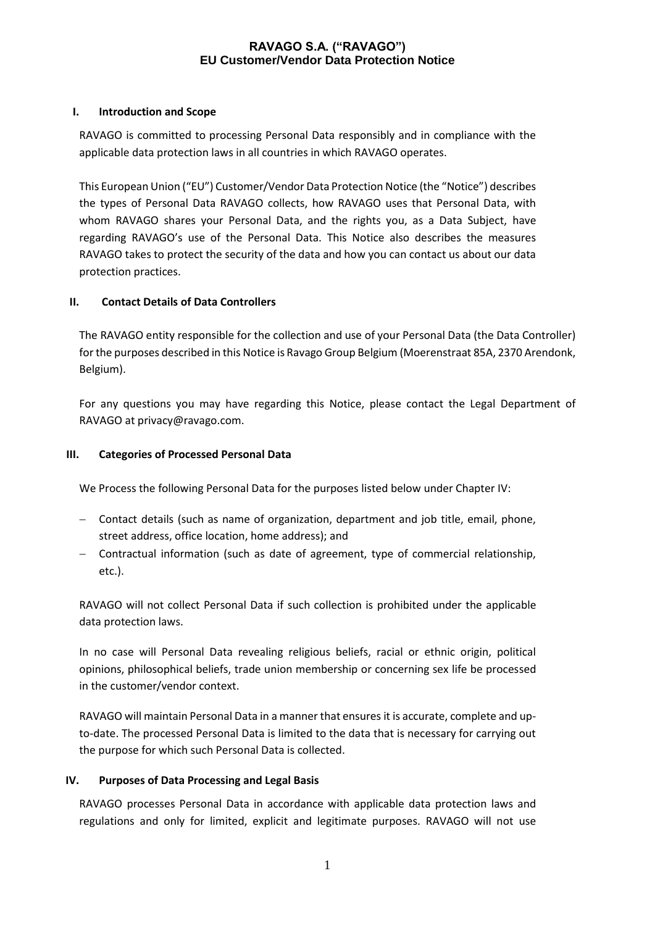#### **I. Introduction and Scope**

RAVAGO is committed to processing Personal Data responsibly and in compliance with the applicable data protection laws in all countries in which RAVAGO operates.

This European Union ("EU") Customer/Vendor Data Protection Notice (the "Notice") describes the types of Personal Data RAVAGO collects, how RAVAGO uses that Personal Data, with whom RAVAGO shares your Personal Data, and the rights you, as a Data Subject, have regarding RAVAGO's use of the Personal Data. This Notice also describes the measures RAVAGO takes to protect the security of the data and how you can contact us about our data protection practices.

## **II. Contact Details of Data Controllers**

The RAVAGO entity responsible for the collection and use of your Personal Data (the Data Controller) for the purposes described in this Notice is Ravago Group Belgium (Moerenstraat 85A, 2370 Arendonk, Belgium).

For any questions you may have regarding this Notice, please contact the Legal Department of RAVAGO at privacy@ravago.com.

### **III. Categories of Processed Personal Data**

We Process the following Personal Data for the purposes listed below under Chapter IV:

- Contact details (such as name of organization, department and job title, email, phone, street address, office location, home address); and
- Contractual information (such as date of agreement, type of commercial relationship, etc.).

RAVAGO will not collect Personal Data if such collection is prohibited under the applicable data protection laws.

In no case will Personal Data revealing religious beliefs, racial or ethnic origin, political opinions, philosophical beliefs, trade union membership or concerning sex life be processed in the customer/vendor context.

RAVAGO will maintain Personal Data in a manner that ensures it is accurate, complete and upto-date. The processed Personal Data is limited to the data that is necessary for carrying out the purpose for which such Personal Data is collected.

#### **IV. Purposes of Data Processing and Legal Basis**

RAVAGO processes Personal Data in accordance with applicable data protection laws and regulations and only for limited, explicit and legitimate purposes. RAVAGO will not use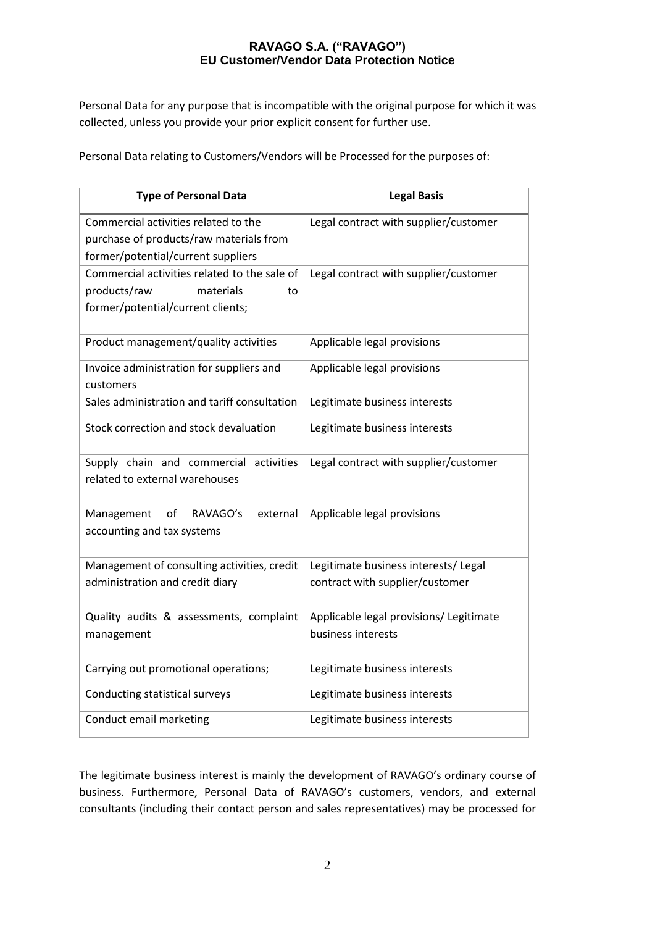Personal Data for any purpose that is incompatible with the original purpose for which it was collected, unless you provide your prior explicit consent for further use.

Personal Data relating to Customers/Vendors will be Processed for the purposes of:

| <b>Type of Personal Data</b>                                                                                          | <b>Legal Basis</b>                                                      |
|-----------------------------------------------------------------------------------------------------------------------|-------------------------------------------------------------------------|
| Commercial activities related to the<br>purchase of products/raw materials from<br>former/potential/current suppliers | Legal contract with supplier/customer                                   |
| Commercial activities related to the sale of<br>products/raw<br>materials<br>to<br>former/potential/current clients;  | Legal contract with supplier/customer                                   |
| Product management/quality activities                                                                                 | Applicable legal provisions                                             |
| Invoice administration for suppliers and<br>customers                                                                 | Applicable legal provisions                                             |
| Sales administration and tariff consultation                                                                          | Legitimate business interests                                           |
| Stock correction and stock devaluation                                                                                | Legitimate business interests                                           |
| Supply chain and commercial activities<br>related to external warehouses                                              | Legal contract with supplier/customer                                   |
| RAVAGO's<br>Management<br>of<br>external<br>accounting and tax systems                                                | Applicable legal provisions                                             |
| Management of consulting activities, credit<br>administration and credit diary                                        | Legitimate business interests/ Legal<br>contract with supplier/customer |
| Quality audits & assessments, complaint<br>management                                                                 | Applicable legal provisions/ Legitimate<br>business interests           |
| Carrying out promotional operations;                                                                                  | Legitimate business interests                                           |
| Conducting statistical surveys                                                                                        | Legitimate business interests                                           |
| Conduct email marketing                                                                                               | Legitimate business interests                                           |

The legitimate business interest is mainly the development of RAVAGO's ordinary course of business. Furthermore, Personal Data of RAVAGO's customers, vendors, and external consultants (including their contact person and sales representatives) may be processed for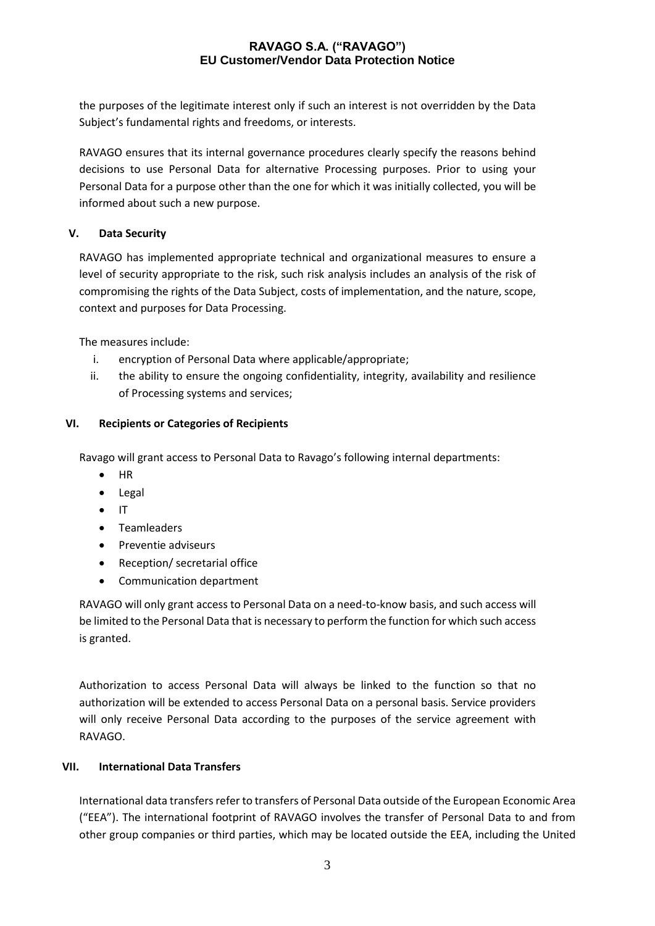the purposes of the legitimate interest only if such an interest is not overridden by the Data Subject's fundamental rights and freedoms, or interests.

RAVAGO ensures that its internal governance procedures clearly specify the reasons behind decisions to use Personal Data for alternative Processing purposes. Prior to using your Personal Data for a purpose other than the one for which it was initially collected, you will be informed about such a new purpose.

## **V. Data Security**

RAVAGO has implemented appropriate technical and organizational measures to ensure a level of security appropriate to the risk, such risk analysis includes an analysis of the risk of compromising the rights of the Data Subject, costs of implementation, and the nature, scope, context and purposes for Data Processing.

The measures include:

- i. encryption of Personal Data where applicable/appropriate;
- ii. the ability to ensure the ongoing confidentiality, integrity, availability and resilience of Processing systems and services;

# **VI. Recipients or Categories of Recipients**

Ravago will grant access to Personal Data to Ravago's following internal departments:

- $\bullet$  HR
- Legal
- $\bullet$  IT
- Teamleaders
- Preventie adviseurs
- Reception/ secretarial office
- Communication department

RAVAGO will only grant access to Personal Data on a need-to-know basis, and such access will be limited to the Personal Data that is necessary to perform the function for which such access is granted.

Authorization to access Personal Data will always be linked to the function so that no authorization will be extended to access Personal Data on a personal basis. Service providers will only receive Personal Data according to the purposes of the service agreement with RAVAGO.

## **VII. International Data Transfers**

International data transfers refer to transfers of Personal Data outside of the European Economic Area ("EEA"). The international footprint of RAVAGO involves the transfer of Personal Data to and from other group companies or third parties, which may be located outside the EEA, including the United